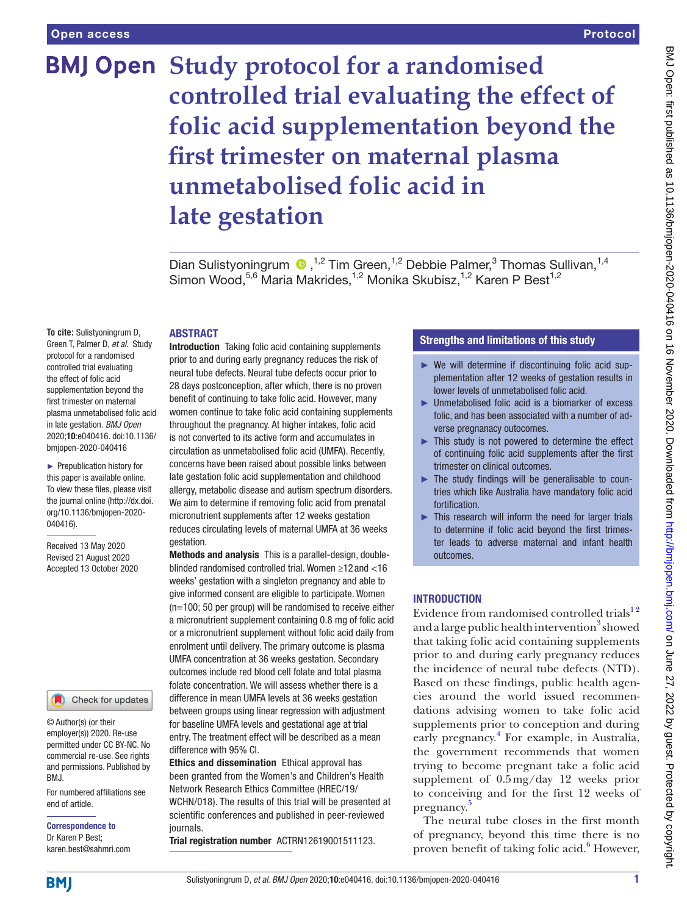# **BMJ Open Study protocol for a randomised controlled trial evaluating the effect of folic acid supplementation beyond the first trimester on maternal plasma unmetabolised folic acid in late gestation**

DianSulistyoningrum  $\bullet$ , <sup>1,2</sup> Tim Green, <sup>1,2</sup> Debbie Palmer, <sup>3</sup> Thomas Sullivan, <sup>1,4</sup> Simon Wood,<sup>5,6</sup> Maria Makrides,<sup>1,2</sup> Monika Skubisz,<sup>1,2</sup> Karen P Best<sup>1,2</sup>

## ABSTRACT

**To cite:** Sulistyoningrum D, Green T, Palmer D, *et al*. Study protocol for a randomised controlled trial evaluating the effect of folic acid supplementation beyond the first trimester on maternal plasma unmetabolised folic acid in late gestation. *BMJ Open* 2020;10:e040416. doi:10.1136/ bmjopen-2020-040416

► Prepublication history for this paper is available online. To view these files, please visit the journal online (http://dx.doi. org/10.1136/bmjopen-2020- 040416).

Received 13 May 2020 Revised 21 August 2020 Accepted 13 October 2020



© Author(s) (or their employer(s)) 2020. Re-use permitted under CC BY-NC. No commercial re-use. See rights and permissions. Published by BMJ.

For numbered affiliations see end of article.

Correspondence to Dr Karen P Best; karen.best@sahmri.com

Introduction Taking folic acid containing supplements prior to and during early pregnancy reduces the risk of neural tube defects. Neural tube defects occur prior to 28 days postconception, after which, there is no proven benefit of continuing to take folic acid. However, many women continue to take folic acid containing supplements throughout the pregnancy. At higher intakes, folic acid is not converted to its active form and accumulates in circulation as unmetabolised folic acid (UMFA). Recently, concerns have been raised about possible links between late gestation folic acid supplementation and childhood allergy, metabolic disease and autism spectrum disorders. We aim to determine if removing folic acid from prenatal micronutrient supplements after 12 weeks gestation reduces circulating levels of maternal UMFA at 36 weeks gestation.

Methods and analysis This is a parallel-design, doubleblinded randomised controlled trial. Women ≥12 and <16 weeks' gestation with a singleton pregnancy and able to give informed consent are eligible to participate. Women (n=100; 50 per group) will be randomised to receive either a micronutrient supplement containing 0.8 mg of folic acid or a micronutrient supplement without folic acid daily from enrolment until delivery. The primary outcome is plasma UMFA concentration at 36 weeks gestation. Secondary outcomes include red blood cell folate and total plasma folate concentration. We will assess whether there is a difference in mean UMFA levels at 36 weeks gestation between groups using linear regression with adjustment for baseline UMFA levels and gestational age at trial entry. The treatment effect will be described as a mean difference with 95% CI.

Ethics and dissemination Ethical approval has been granted from the Women's and Children's Health Network Research Ethics Committee (HREC/19/ WCHN/018). The results of this trial will be presented at scientific conferences and published in peer-reviewed journals.

Trial registration number ACTRN12619001511123.

# Strengths and limitations of this study

- ► We will determine if discontinuing folic acid supplementation after 12 weeks of gestation results in lower levels of unmetabolised folic acid.
- ► Unmetabolised folic acid is a biomarker of excess folic, and has been associated with a number of adverse pregnanacy outocomes.
- ► This study is not powered to determine the effect of continuing folic acid supplements after the first trimester on clinical outcomes.
- $\blacktriangleright$  The study findings will be generalisable to countries which like Australia have mandatory folic acid fortification.
- ► This research will inform the need for larger trials to determine if folic acid beyond the first trimester leads to adverse maternal and infant health outcomes.

## **INTRODUCTION**

Evidence from randomised controlled trials<sup>12</sup> and a large public health intervention<sup>[3](#page-5-1)</sup> showed that taking folic acid containing supplements prior to and during early pregnancy reduces the incidence of neural tube defects (NTD). Based on these findings, public health agencies around the world issued recommendations advising women to take folic acid supplements prior to conception and during early pregnancy.<sup>[4](#page-5-2)</sup> For example, in Australia, the government recommends that women trying to become pregnant take a folic acid supplement of 0.5mg/day 12 weeks prior to conceiving and for the first 12 weeks of pregnancy. [5](#page-5-3)

The neural tube closes in the first month of pregnancy, beyond this time there is no proven benefit of taking folic acid.<sup>[6](#page-5-4)</sup> However,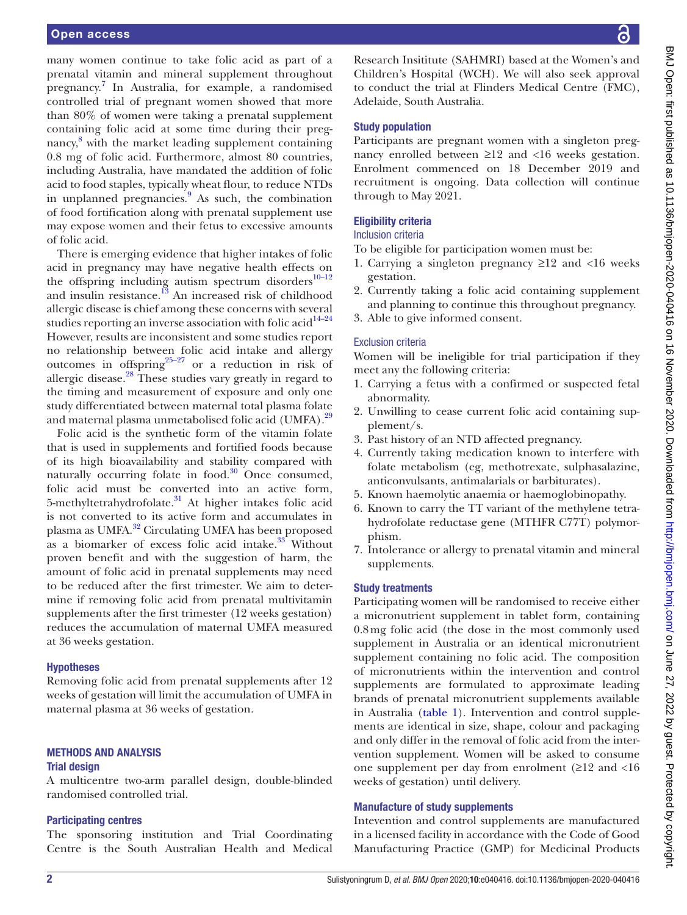many women continue to take folic acid as part of a prenatal vitamin and mineral supplement throughout pregnancy. [7](#page-5-5) In Australia, for example, a randomised controlled trial of pregnant women showed that more than 80% of women were taking a prenatal supplement containing folic acid at some time during their pregnancy, [8](#page-5-6) with the market leading supplement containing 0.8 mg of folic acid. Furthermore, almost 80 countries, including Australia, have mandated the addition of folic acid to food staples, typically wheat flour, to reduce NTDs in unplanned pregnancies.<sup>[9](#page-5-7)</sup> As such, the combination of food fortification along with prenatal supplement use may expose women and their fetus to excessive amounts of folic acid.

There is emerging evidence that higher intakes of folic acid in pregnancy may have negative health effects on the offspring including autism spectrum disorders $10-12$ and insulin resistance.<sup>[13](#page-5-9)</sup> An increased risk of childhood allergic disease is chief among these concerns with several studies reporting an inverse association with folic acid $14-24$ However, results are inconsistent and some studies report no relationship between folic acid intake and allergy outcomes in offspring<sup>[25–27](#page-5-11)</sup> or a reduction in risk of allergic disease.<sup>28</sup> These studies vary greatly in regard to the timing and measurement of exposure and only one study differentiated between maternal total plasma folate and maternal plasma unmetabolised folic acid (UMFA).<sup>[29](#page-5-13)</sup>

Folic acid is the synthetic form of the vitamin folate that is used in supplements and fortified foods because of its high bioavailability and stability compared with naturally occurring folate in food.<sup>30</sup> Once consumed, folic acid must be converted into an active form, 5-methyltetrahydrofolate.<sup>31</sup> At higher intakes folic acid is not converted to its active form and accumulates in plasma as UMFA.[32](#page-5-16) Circulating UMFA has been proposed as a biomarker of excess folic acid intake. $33$  Without proven benefit and with the suggestion of harm, the amount of folic acid in prenatal supplements may need to be reduced after the first trimester. We aim to determine if removing folic acid from prenatal multivitamin supplements after the first trimester (12 weeks gestation) reduces the accumulation of maternal UMFA measured at 36 weeks gestation.

## Hypotheses

Removing folic acid from prenatal supplements after 12 weeks of gestation will limit the accumulation of UMFA in maternal plasma at 36 weeks of gestation.

## METHODS AND ANALYSIS Trial design

A multicentre two-arm parallel design, double-blinded randomised controlled trial.

### Participating centres

The sponsoring institution and Trial Coordinating Centre is the South Australian Health and Medical

Research Insititute (SAHMRI) based at the Women's and Children's Hospital (WCH). We will also seek approval to conduct the trial at Flinders Medical Centre (FMC), Adelaide, South Australia.

#### Study population

Participants are pregnant women with a singleton pregnancy enrolled between ≥12 and <16 weeks gestation. Enrolment commenced on 18 December 2019 and recruitment is ongoing. Data collection will continue through to May 2021.

### Eligibility criteria

### Inclusion criteria

To be eligible for participation women must be:

- 1. Carrying a singleton pregnancy ≥12 and <16 weeks gestation.
- 2. Currently taking a folic acid containing supplement and planning to continue this throughout pregnancy.
- 3. Able to give informed consent.

## Exclusion criteria

Women will be ineligible for trial participation if they meet any the following criteria:

- 1. Carrying a fetus with a confirmed or suspected fetal abnormality.
- 2. Unwilling to cease current folic acid containing supplement/s.
- 3. Past history of an NTD affected pregnancy.
- 4. Currently taking medication known to interfere with folate metabolism (eg, methotrexate, sulphasalazine, anticonvulsants, antimalarials or barbiturates).
- 5. Known haemolytic anaemia or haemoglobinopathy.
- 6. Known to carry the TT variant of the methylene tetrahydrofolate reductase gene (MTHFR C77T) polymorphism.
- 7. Intolerance or allergy to prenatal vitamin and mineral supplements.

## Study treatments

Participating women will be randomised to receive either a micronutrient supplement in tablet form, containing 0.8mg folic acid (the dose in the most commonly used supplement in Australia or an identical micronutrient supplement containing no folic acid. The composition of micronutrients within the intervention and control supplements are formulated to approximate leading brands of prenatal micronutrient supplements available in Australia ([table](#page-2-0) 1). Intervention and control supplements are identical in size, shape, colour and packaging and only differ in the removal of folic acid from the intervention supplement. Women will be asked to consume one supplement per day from enrolment  $(212 \text{ and } 16)$ weeks of gestation) until delivery.

#### Manufacture of study supplements

Intevention and control supplements are manufactured in a licensed facility in accordance with the Code of Good Manufacturing Practice (GMP) for Medicinal Products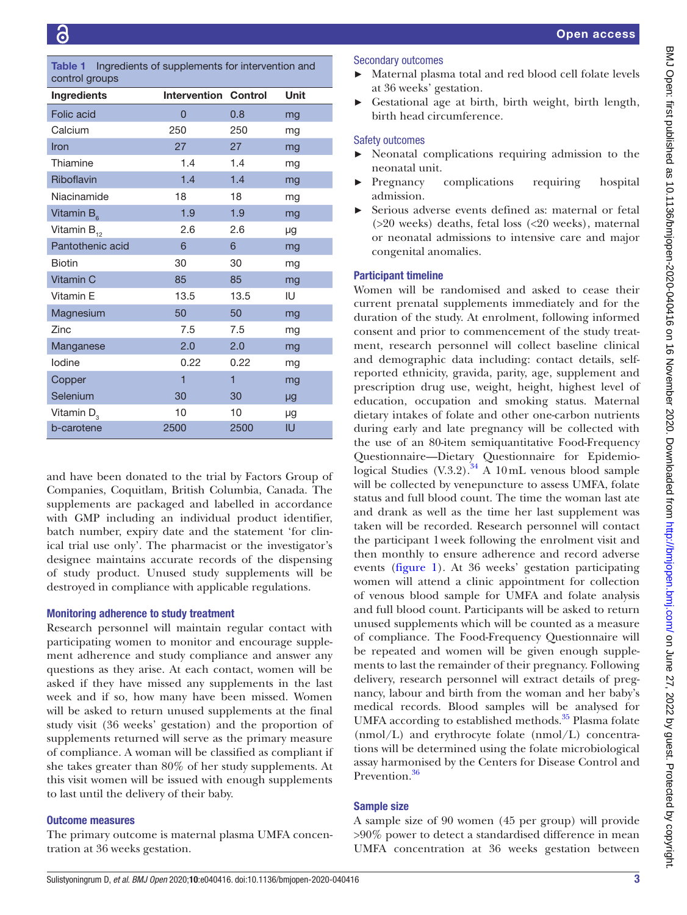<span id="page-2-0"></span>

|                |  | <b>Table 1</b> Ingredients of supplements for intervention and |  |
|----------------|--|----------------------------------------------------------------|--|
| control groups |  |                                                                |  |

| Ingredients            | <b>Intervention Control</b> |      | Unit |  |
|------------------------|-----------------------------|------|------|--|
| Folic acid             | 0                           | 0.8  | mg   |  |
| Calcium                | 250                         | 250  | mg   |  |
| Iron                   | 27                          | 27   | mg   |  |
| Thiamine               | 1.4                         | 1.4  | mg   |  |
| Riboflavin             | 1.4                         | 1.4  | mg   |  |
| Niacinamide            | 18                          | 18   | mg   |  |
| Vitamin $B_{\epsilon}$ | 1.9                         | 1.9  | mg   |  |
| Vitamin $B_{12}$       | 2.6                         | 2.6  | μg   |  |
| Pantothenic acid       | 6                           | 6    | mg   |  |
| <b>Biotin</b>          | 30                          | 30   | mg   |  |
| Vitamin C              | 85                          | 85   | mg   |  |
| Vitamin E              | 13.5                        | 13.5 | IU   |  |
| Magnesium              | 50                          | 50   | mg   |  |
| Zinc                   | 7.5                         | 7.5  | mg   |  |
| Manganese              | 2.0                         | 2.0  | mg   |  |
| lodine                 | 0.22                        | 0.22 | mg   |  |
| Copper                 | 1                           | 1    | mg   |  |
| Selenium               | 30                          | 30   | μg   |  |
| Vitamin D <sub>3</sub> | 10                          | 10   | μg   |  |
| b-carotene             | 2500                        | 2500 | IU   |  |

and have been donated to the trial by Factors Group of Companies, Coquitlam, British Columbia, Canada. The supplements are packaged and labelled in accordance with GMP including an individual product identifier, batch number, expiry date and the statement 'for clinical trial use only'. The pharmacist or the investigator's designee maintains accurate records of the dispensing of study product. Unused study supplements will be destroyed in compliance with applicable regulations.

## Monitoring adherence to study treatment

Research personnel will maintain regular contact with participating women to monitor and encourage supplement adherence and study compliance and answer any questions as they arise. At each contact, women will be asked if they have missed any supplements in the last week and if so, how many have been missed. Women will be asked to return unused supplements at the final study visit (36 weeks' gestation) and the proportion of supplements returned will serve as the primary measure of compliance. A woman will be classified as compliant if she takes greater than 80% of her study supplements. At this visit women will be issued with enough supplements to last until the delivery of their baby.

## Outcome measures

The primary outcome is maternal plasma UMFA concentration at 36 weeks gestation.

## Secondary outcomes

- ► Maternal plasma total and red blood cell folate levels at 36 weeks' gestation.
- ► Gestational age at birth, birth weight, birth length, birth head circumference.

## Safety outcomes

- ► Neonatal complications requiring admission to the neonatal unit.
- Pregnancy complications requiring hospital admission.
- Serious adverse events defined as: maternal or fetal (>20 weeks) deaths, fetal loss (<20 weeks), maternal or neonatal admissions to intensive care and major congenital anomalies.

## Participant timeline

Women will be randomised and asked to cease their current prenatal supplements immediately and for the duration of the study. At enrolment, following informed consent and prior to commencement of the study treatment, research personnel will collect baseline clinical and demographic data including: contact details, selfreported ethnicity, gravida, parity, age, supplement and prescription drug use, weight, height, highest level of education, occupation and smoking status. Maternal dietary intakes of folate and other one-carbon nutrients during early and late pregnancy will be collected with the use of an 80-item semiquantitative Food-Frequency Questionnaire—Dietary Questionnaire for Epidemiological Studies  $(V.3.2)$ .<sup>34</sup> A 10mL venous blood sample will be collected by venepuncture to assess UMFA, folate status and full blood count. The time the woman last ate and drank as well as the time her last supplement was taken will be recorded. Research personnel will contact the participant 1week following the enrolment visit and then monthly to ensure adherence and record adverse events [\(figure](#page-3-0) 1). At 36 weeks' gestation participating women will attend a clinic appointment for collection of venous blood sample for UMFA and folate analysis and full blood count. Participants will be asked to return unused supplements which will be counted as a measure of compliance. The Food-Frequency Questionnaire will be repeated and women will be given enough supplements to last the remainder of their pregnancy. Following delivery, research personnel will extract details of pregnancy, labour and birth from the woman and her baby's medical records. Blood samples will be analysed for UMFA according to established methods.<sup>[35](#page-6-0)</sup> Plasma folate (nmol/L) and erythrocyte folate (nmol/L) concentrations will be determined using the folate microbiological assay harmonised by the Centers for Disease Control and Prevention.<sup>[36](#page-6-1)</sup>

## Sample size

A sample size of 90 women (45 per group) will provide >90% power to detect a standardised difference in mean UMFA concentration at 36 weeks gestation between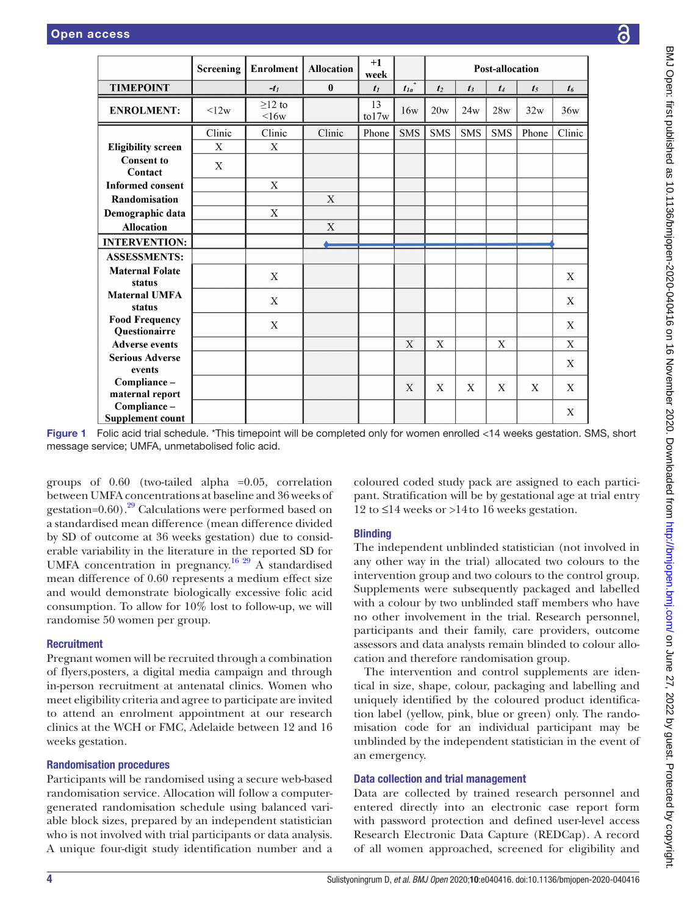|                                        | Screening    | <b>Enrolment</b>     | <b>Allocation</b> | $+1$<br>week |            | <b>Post-allocation</b> |            |            |                |        |
|----------------------------------------|--------------|----------------------|-------------------|--------------|------------|------------------------|------------|------------|----------------|--------|
| <b>TIMEPOINT</b>                       |              | $-t_1$               | $\bf{0}$          | $t_1$        | $t_{1a}$   | t <sub>2</sub>         | $t_3$      | $t_4$      | t <sub>5</sub> | $t_6$  |
| <b>ENROLMENT:</b>                      | <12w         | $\geq$ 12 to<br><16w |                   | 13<br>to 17w | 16w        | 20w                    | 24w        | 28w        | 32w            | 36w    |
|                                        | Clinic       | Clinic               | Clinic            | Phone        | <b>SMS</b> | <b>SMS</b>             | <b>SMS</b> | <b>SMS</b> | Phone          | Clinic |
| <b>Eligibility</b> screen              | X            | X                    |                   |              |            |                        |            |            |                |        |
| <b>Consent to</b><br>Contact           | $\mathbf{X}$ |                      |                   |              |            |                        |            |            |                |        |
| <b>Informed consent</b>                |              | X                    |                   |              |            |                        |            |            |                |        |
| Randomisation                          |              |                      | X                 |              |            |                        |            |            |                |        |
| Demographic data                       |              | $\mathbf X$          |                   |              |            |                        |            |            |                |        |
| <b>Allocation</b>                      |              |                      | X                 |              |            |                        |            |            |                |        |
| <b>INTERVENTION:</b>                   |              |                      |                   |              |            |                        |            |            |                |        |
| <b>ASSESSMENTS:</b>                    |              |                      |                   |              |            |                        |            |            |                |        |
| <b>Maternal Folate</b><br>status       |              | X                    |                   |              |            |                        |            |            |                | X      |
| <b>Maternal UMFA</b><br>status         |              | X                    |                   |              |            |                        |            |            |                | X      |
| <b>Food Frequency</b><br>Questionairre |              | X                    |                   |              |            |                        |            |            |                | X      |
| <b>Adverse events</b>                  |              |                      |                   |              | X          | X                      |            | X          |                | X      |
| <b>Serious Adverse</b><br>events       |              |                      |                   |              |            |                        |            |            |                | X      |
| Compliance-<br>maternal report         |              |                      |                   |              | X          | X                      | X          | X          | X              | X      |
| Compliance-<br>Supplement count        |              |                      |                   |              |            |                        |            |            |                | X      |

<span id="page-3-0"></span>Figure 1 Folic acid trial schedule. \*This timepoint will be completed only for women enrolled <14 weeks gestation. SMS, short message service; UMFA, unmetabolised folic acid.

groups of  $0.60$  (two-tailed alpha = $0.05$ , correlation between UMFA concentrations at baseline and 36 weeks of gestation=0.60).<sup>29</sup> Calculations were performed based on a standardised mean difference (mean difference divided by SD of outcome at 36 weeks gestation) due to considerable variability in the literature in the reported SD for UMFA concentration in pregnancy.<sup>16 29</sup> A standardised mean difference of 0.60 represents a medium effect size and would demonstrate biologically excessive folic acid consumption. To allow for 10% lost to follow-up, we will randomise 50 women per group.

## **Recruitment**

Pregnant women will be recruited through a combination of flyers,posters, a digital media campaign and through in-person recruitment at antenatal clinics. Women who meet eligibility criteria and agree to participate are invited to attend an enrolment appointment at our research clinics at the WCH or FMC, Adelaide between 12 and 16 weeks gestation.

## Randomisation procedures

Participants will be randomised using a secure web-based randomisation service. Allocation will follow a computergenerated randomisation schedule using balanced variable block sizes, prepared by an independent statistician who is not involved with trial participants or data analysis. A unique four-digit study identification number and a

coloured coded study pack are assigned to each participant. Stratification will be by gestational age at trial entry 12 to ≤14 weeks or >14to 16 weeks gestation.

## **Blinding**

The independent unblinded statistician (not involved in any other way in the trial) allocated two colours to the intervention group and two colours to the control group. Supplements were subsequently packaged and labelled with a colour by two unblinded staff members who have no other involvement in the trial. Research personnel, participants and their family, care providers, outcome assessors and data analysts remain blinded to colour allocation and therefore randomisation group.

The intervention and control supplements are identical in size, shape, colour, packaging and labelling and uniquely identified by the coloured product identification label (yellow, pink, blue or green) only. The randomisation code for an individual participant may be unblinded by the independent statistician in the event of an emergency.

## Data collection and trial management

Data are collected by trained research personnel and entered directly into an electronic case report form with password protection and defined user-level access Research Electronic Data Capture (REDCap). A record of all women approached, screened for eligibility and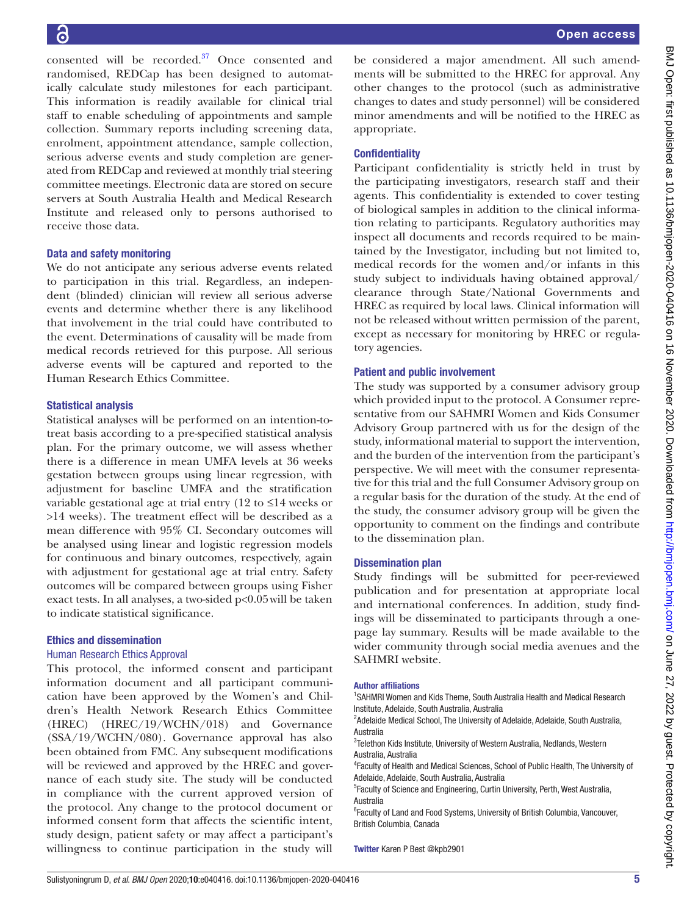be considered a major amendment. All such amendments will be submitted to the HREC for approval. Any other changes to the protocol (such as administrative changes to dates and study personnel) will be considered minor amendments and will be notified to the HREC as appropriate. **Confidentiality** Participant confidentiality is strictly held in trust by the participating investigators, research staff and their agents. This confidentiality is extended to cover testing of biological samples in addition to the clinical information relating to participants. Regulatory authorities may inspect all documents and records required to be maintained by the Investigator, including but not limited to, medical records for the women and/or infants in this study subject to individuals having obtained approval/ clearance through State/National Governments and HREC as required by local laws. Clinical information will not be released without written permission of the parent, except as necessary for monitoring by HREC or regulatory agencies.

## Patient and public involvement

The study was supported by a consumer advisory group which provided input to the protocol. A Consumer representative from our SAHMRI Women and Kids Consumer Advisory Group partnered with us for the design of the study, informational material to support the intervention, and the burden of the intervention from the participant's perspective. We will meet with the consumer representative for this trial and the full Consumer Advisory group on a regular basis for the duration of the study. At the end of the study, the consumer advisory group will be given the opportunity to comment on the findings and contribute to the dissemination plan.

## Dissemination plan

Study findings will be submitted for peer-reviewed publication and for presentation at appropriate local and international conferences. In addition, study findings will be disseminated to participants through a onepage lay summary. Results will be made available to the wider community through social media avenues and the SAHMRI website.

#### Author affiliations

<sup>1</sup>SAHMRI Women and Kids Theme, South Australia Health and Medical Research Institute, Adelaide, South Australia, Australia

<sup>2</sup> Adelaide Medical School, The University of Adelaide, Adelaide, South Australia, Australia

<sup>3</sup>Telethon Kids Institute, University of Western Australia, Nedlands, Western Australia, Australia

4 Faculty of Health and Medical Sciences, School of Public Health, The University of Adelaide, Adelaide, South Australia, Australia

5 Faculty of Science and Engineering, Curtin University, Perth, West Australia, Australia

<sup>6</sup> Faculty of Land and Food Systems, University of British Columbia, Vancouver, British Columbia, Canada

Twitter Karen P Best [@kpb2901](https://twitter.com/kpb2901)

consented will be recorded. $37$  Once consented and randomised, REDCap has been designed to automatically calculate study milestones for each participant. This information is readily available for clinical trial staff to enable scheduling of appointments and sample collection. Summary reports including screening data, enrolment, appointment attendance, sample collection, serious adverse events and study completion are generated from REDCap and reviewed at monthly trial steering committee meetings. Electronic data are stored on secure servers at South Australia Health and Medical Research Institute and released only to persons authorised to receive those data.

## Data and safety monitoring

We do not anticipate any serious adverse events related to participation in this trial. Regardless, an independent (blinded) clinician will review all serious adverse events and determine whether there is any likelihood that involvement in the trial could have contributed to the event. Determinations of causality will be made from medical records retrieved for this purpose. All serious adverse events will be captured and reported to the Human Research Ethics Committee.

## Statistical analysis

Statistical analyses will be performed on an intention-totreat basis according to a pre-specified statistical analysis plan. For the primary outcome, we will assess whether there is a difference in mean UMFA levels at 36 weeks gestation between groups using linear regression, with adjustment for baseline UMFA and the stratification variable gestational age at trial entry (12 to ≤14 weeks or >14 weeks). The treatment effect will be described as a mean difference with 95% CI. Secondary outcomes will be analysed using linear and logistic regression models for continuous and binary outcomes, respectively, again with adjustment for gestational age at trial entry. Safety outcomes will be compared between groups using Fisher exact tests. In all analyses, a two-sided p<0.05will be taken to indicate statistical significance.

## Ethics and dissemination

## Human Research Ethics Approval

This protocol, the informed consent and participant information document and all participant communication have been approved by the Women's and Children's Health Network Research Ethics Committee (HREC) (HREC/19/WCHN/018) and Governance (SSA/19/WCHN/080). Governance approval has also been obtained from FMC. Any subsequent modifications will be reviewed and approved by the HREC and governance of each study site. The study will be conducted in compliance with the current approved version of the protocol. Any change to the protocol document or informed consent form that affects the scientific intent, study design, patient safety or may affect a participant's willingness to continue participation in the study will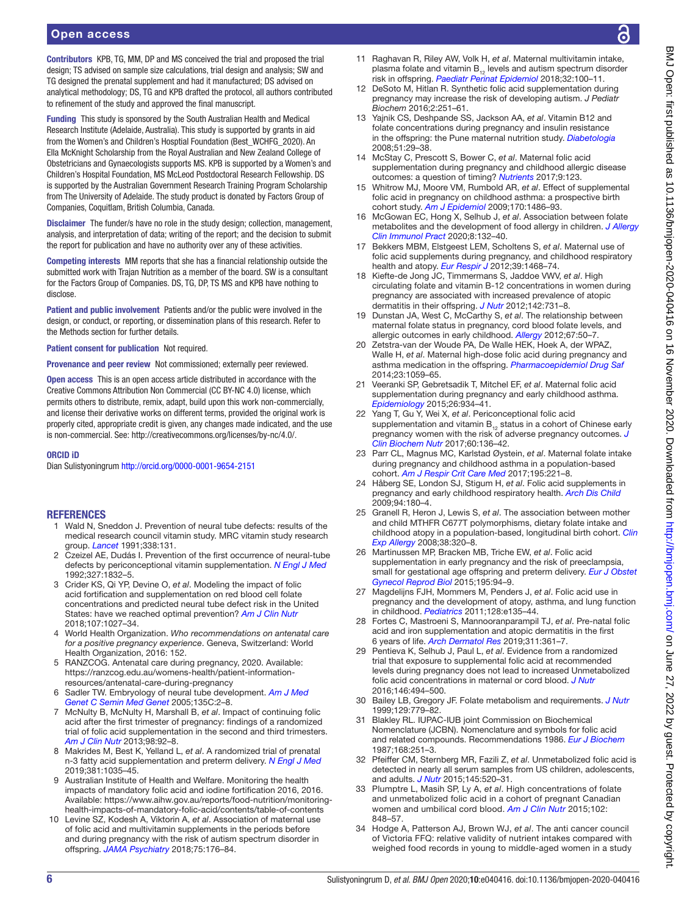Contributors KPB, TG, MM, DP and MS conceived the trial and proposed the trial design; TS advised on sample size calculations, trial design and analysis; SW and TG designed the prenatal supplement and had it manufactured; DS advised on analytical methodology; DS, TG and KPB drafted the protocol, all authors contributed to refinement of the study and approved the final manuscript.

Funding This study is sponsored by the South Australian Health and Medical Research Institute (Adelaide, Australia). This study is supported by grants in aid from the Women's and Children's Hosptial Foundation (Best\_WCHFG\_2020). An Ella McKnight Scholarship from the Royal Australian and New Zealand College of Obstetricians and Gynaecologists supports MS. KPB is supported by a Women's and Children's Hospital Foundation, MS McLeod Postdoctoral Research Fellowship. DS is supported by the Australian Government Research Training Program Scholarship from The University of Adelaide. The study product is donated by Factors Group of Companies, Coquitlam, British Columbia, Canada.

**Disclaimer** The funder/s have no role in the study design; collection, management, analysis, and interpretation of data; writing of the report; and the decision to submit the report for publication and have no authority over any of these activities.

Competing interests MM reports that she has a financial relationship outside the submitted work with Trajan Nutrition as a member of the board. SW is a consultant for the Factors Group of Companies. DS, TG, DP, TS MS and KPB have nothing to disclose.

Patient and public involvement Patients and/or the public were involved in the design, or conduct, or reporting, or dissemination plans of this research. Refer to the Methods section for further details.

Patient consent for publication Not required.

Provenance and peer review Not commissioned; externally peer reviewed.

Open access This is an open access article distributed in accordance with the Creative Commons Attribution Non Commercial (CC BY-NC 4.0) license, which permits others to distribute, remix, adapt, build upon this work non-commercially, and license their derivative works on different terms, provided the original work is properly cited, appropriate credit is given, any changes made indicated, and the use is non-commercial. See: [http://creativecommons.org/licenses/by-nc/4.0/.](http://creativecommons.org/licenses/by-nc/4.0/)

#### ORCID iD

Dian Sulistyoningrum<http://orcid.org/0000-0001-9654-2151>

#### **REFERENCES**

- <span id="page-5-0"></span>1 Wald N, Sneddon J. Prevention of neural tube defects: results of the medical research council vitamin study. MRC vitamin study research group. *[Lancet](http://www.ncbi.nlm.nih.gov/pubmed/http://www.ncbi.nlm.nih.gov/pubmed/1677062)* 1991;338:131.
- 2 Czeizel AE, Dudás I. Prevention of the first occurrence of neural-tube defects by periconceptional vitamin supplementation. *[N Engl J Med](http://dx.doi.org/10.1056/NEJM199212243272602)* 1992;327:1832–5.
- <span id="page-5-1"></span>3 Crider KS, Qi YP, Devine O, *et al*. Modeling the impact of folic acid fortification and supplementation on red blood cell folate concentrations and predicted neural tube defect risk in the United States: have we reached optimal prevention? *[Am J Clin Nutr](http://dx.doi.org/10.1093/ajcn/nqy065)* 2018;107:1027–34.
- <span id="page-5-2"></span>4 World Health Organization. *Who recommendations on antenatal care for a positive pregnancy experience*. Geneva, Switzerland: World Health Organization, 2016: 152.
- <span id="page-5-3"></span>5 RANZCOG. Antenatal care during pregnancy, 2020. Available: [https://ranzcog.edu.au/womens-health/patient-information](https://ranzcog.edu.au/womens-health/patient-information-resources/antenatal-care-during-pregnancy)[resources/antenatal-care-during-pregnancy](https://ranzcog.edu.au/womens-health/patient-information-resources/antenatal-care-during-pregnancy)
- <span id="page-5-4"></span>6 Sadler TW. Embryology of neural tube development. *[Am J Med](http://dx.doi.org/10.1002/ajmg.c.30049)  [Genet C Semin Med Genet](http://dx.doi.org/10.1002/ajmg.c.30049)* 2005;135C:2–8.
- <span id="page-5-5"></span>7 McNulty B, McNulty H, Marshall B, *et al*. Impact of continuing folic acid after the first trimester of pregnancy: findings of a randomized trial of folic acid supplementation in the second and third trimesters. *[Am J Clin Nutr](http://dx.doi.org/10.3945/ajcn.112.057489)* 2013;98:92–8.
- <span id="page-5-6"></span>8 Makrides M, Best K, Yelland L, *et al*. A randomized trial of prenatal n-3 fatty acid supplementation and preterm delivery. *[N Engl J Med](http://dx.doi.org/10.1056/NEJMoa1816832)* 2019;381:1035–45.
- <span id="page-5-7"></span>9 Australian Institute of Health and Welfare. Monitoring the health impacts of mandatory folic acid and iodine fortification 2016, 2016. Available: [https://www.aihw.gov.au/reports/food-nutrition/monitoring](https://www.aihw.gov.au/reports/food-nutrition/monitoring-health-impacts-of-mandatory-folic-acid/contents/table-of-contents)[health-impacts-of-mandatory-folic-acid/contents/table-of-contents](https://www.aihw.gov.au/reports/food-nutrition/monitoring-health-impacts-of-mandatory-folic-acid/contents/table-of-contents)
- <span id="page-5-8"></span>10 Levine SZ, Kodesh A, Viktorin A, *et al*. Association of maternal use of folic acid and multivitamin supplements in the periods before and during pregnancy with the risk of autism spectrum disorder in offspring. *[JAMA Psychiatry](http://dx.doi.org/10.1001/jamapsychiatry.2017.4050)* 2018;75:176–84.
- 11 Raghavan R, Riley AW, Volk H, *et al*. Maternal multivitamin intake, plasma folate and vitamin  $B_{12}$  levels and autism spectrum disorder risk in offspring. *[Paediatr Perinat Epidemiol](http://dx.doi.org/10.1111/ppe.12414)* 2018;32:100–11.
- 12 DeSoto M, Hitlan R. Synthetic folic acid supplementation during pregnancy may increase the risk of developing autism. *J Pediatr Biochem* 2016;2:251–61.
- <span id="page-5-9"></span>13 Yajnik CS, Deshpande SS, Jackson AA, *et al*. Vitamin B12 and folate concentrations during pregnancy and insulin resistance in the offspring: the Pune maternal nutrition study. *[Diabetologia](http://dx.doi.org/10.1007/s00125-007-0793-y)* 2008;51:29–38.
- <span id="page-5-10"></span>14 McStay C, Prescott S, Bower C, *et al*. Maternal folic acid supplementation during pregnancy and childhood allergic disease outcomes: a question of timing? *[Nutrients](http://dx.doi.org/10.3390/nu9020123)* 2017;9:123.
- 15 Whitrow MJ, Moore VM, Rumbold AR, *et al*. Effect of supplemental folic acid in pregnancy on childhood asthma: a prospective birth cohort study. *[Am J Epidemiol](http://dx.doi.org/10.1093/aje/kwp315)* 2009;170:1486–93.
- <span id="page-5-19"></span>16 McGowan EC, Hong X, Selhub J, *et al*. Association between folate metabolites and the development of food allergy in children. *[J Allergy](http://dx.doi.org/10.1016/j.jaip.2019.06.017)  [Clin Immunol Pract](http://dx.doi.org/10.1016/j.jaip.2019.06.017)* 2020;8:132–40.
- 17 Bekkers MBM, Elstgeest LEM, Scholtens S, *et al*. Maternal use of folic acid supplements during pregnancy, and childhood respiratory health and atopy. *[Eur Respir J](http://dx.doi.org/10.1183/09031936.00094511)* 2012;39:1468–74.
- 18 Kiefte-de Jong JC, Timmermans S, Jaddoe VWV, *et al*. High circulating folate and vitamin B-12 concentrations in women during pregnancy are associated with increased prevalence of atopic dermatitis in their offspring. *[J Nutr](http://dx.doi.org/10.3945/jn.111.154948)* 2012;142:731–8.
- 19 Dunstan JA, West C, McCarthy S, *et al*. The relationship between maternal folate status in pregnancy, cord blood folate levels, and allergic outcomes in early childhood. *[Allergy](http://dx.doi.org/10.1111/j.1398-9995.2011.02714.x)* 2012;67:50–7.
- 20 Zetstra-van der Woude PA, De Walle HEK, Hoek A, der WPAZ, Walle H, *et al*. Maternal high-dose folic acid during pregnancy and asthma medication in the offspring. *[Pharmacoepidemiol Drug Saf](http://dx.doi.org/10.1002/pds.3652)* 2014;23:1059–65.
- 21 Veeranki SP, Gebretsadik T, Mitchel EF, *et al*. Maternal folic acid supplementation during pregnancy and early childhood asthma. *[Epidemiology](http://dx.doi.org/10.1097/EDE.0000000000000380)* 2015;26:934–41.
- 22 Yang T, Gu Y, Wei X, *et al*. Periconceptional folic acid supplementation and vitamin  $B_{12}$  status in a cohort of Chinese early pregnancy women with the risk of adverse pregnancy outcomes. J *[Clin Biochem Nutr](http://dx.doi.org/10.3164/jcbn.16-45)* 2017;60:136–42.
- 23 Parr CL, Magnus MC, Karlstad Øystein, *et al*. Maternal folate intake during pregnancy and childhood asthma in a population-based cohort. *[Am J Respir Crit Care Med](http://dx.doi.org/10.1164/rccm.201604-0788OC)* 2017;195:221–8.
- 24 Håberg SE, London SJ, Stigum H, *et al*. Folic acid supplements in pregnancy and early childhood respiratory health. *[Arch Dis Child](http://dx.doi.org/10.1136/adc.2008.142448)* 2009;94:180–4.
- <span id="page-5-11"></span>25 Granell R, Heron J, Lewis S, *et al*. The association between mother and child MTHFR C677T polymorphisms, dietary folate intake and childhood atopy in a population-based, longitudinal birth cohort. *[Clin](http://dx.doi.org/10.1111/j.1365-2222.2007.02902.x)  [Exp Allergy](http://dx.doi.org/10.1111/j.1365-2222.2007.02902.x)* 2008;38:320–8.
- 26 Martinussen MP, Bracken MB, Triche EW, *et al*. Folic acid supplementation in early pregnancy and the risk of preeclampsia, small for gestational age offspring and preterm delivery. *[Eur J Obstet](http://dx.doi.org/10.1016/j.ejogrb.2015.09.022)  [Gynecol Reprod Biol](http://dx.doi.org/10.1016/j.ejogrb.2015.09.022)* 2015;195:94–9.
- 27 Magdelijns FJH, Mommers M, Penders J, *et al*. Folic acid use in pregnancy and the development of atopy, asthma, and lung function in childhood. *[Pediatrics](http://dx.doi.org/10.1542/peds.2010-1690)* 2011;128:e135–44.
- <span id="page-5-12"></span>28 Fortes C, Mastroeni S, Mannooranparampil TJ, *et al*. Pre-natal folic acid and iron supplementation and atopic dermatitis in the first 6 years of life. *[Arch Dermatol Res](http://dx.doi.org/10.1007/s00403-019-01911-2)* 2019;311:361–7.
- <span id="page-5-13"></span>29 Pentieva K, Selhub J, Paul L, *et al*. Evidence from a randomized trial that exposure to supplemental folic acid at recommended levels during pregnancy does not lead to increased Unmetabolized folic acid concentrations in maternal or cord blood. *[J Nutr](http://dx.doi.org/10.3945/jn.115.223644)* 2016;146:494–500.
- <span id="page-5-14"></span>30 Bailey LB, Gregory JF. Folate metabolism and requirements. *[J Nutr](http://dx.doi.org/10.1093/jn/129.4.779)* 1999;129:779–82.
- <span id="page-5-15"></span>31 Blakley RL. IUPAC-IUB joint Commission on Biochemical Nomenclature (JCBN). Nomenclature and symbols for folic acid and related compounds. Recommendations 1986. *[Eur J Biochem](http://dx.doi.org/10.1111/j.1432-1033.1987.tb13413.x)* 1987;168:251–3.
- <span id="page-5-16"></span>32 Pfeiffer CM, Sternberg MR, Fazili Z, *et al*. Unmetabolized folic acid is detected in nearly all serum samples from US children, adolescents, and adults. *[J Nutr](http://dx.doi.org/10.3945/jn.114.201210)* 2015;145:520–31.
- <span id="page-5-17"></span>33 Plumptre L, Masih SP, Ly A, *et al*. High concentrations of folate and unmetabolized folic acid in a cohort of pregnant Canadian women and umbilical cord blood. *[Am J Clin Nutr](http://dx.doi.org/10.3945/ajcn.115.110783)* 2015;102: 848–57.
- <span id="page-5-18"></span>34 Hodge A, Patterson AJ, Brown WJ, *et al*. The anti cancer council of Victoria FFQ: relative validity of nutrient intakes compared with weighed food records in young to middle-aged women in a study